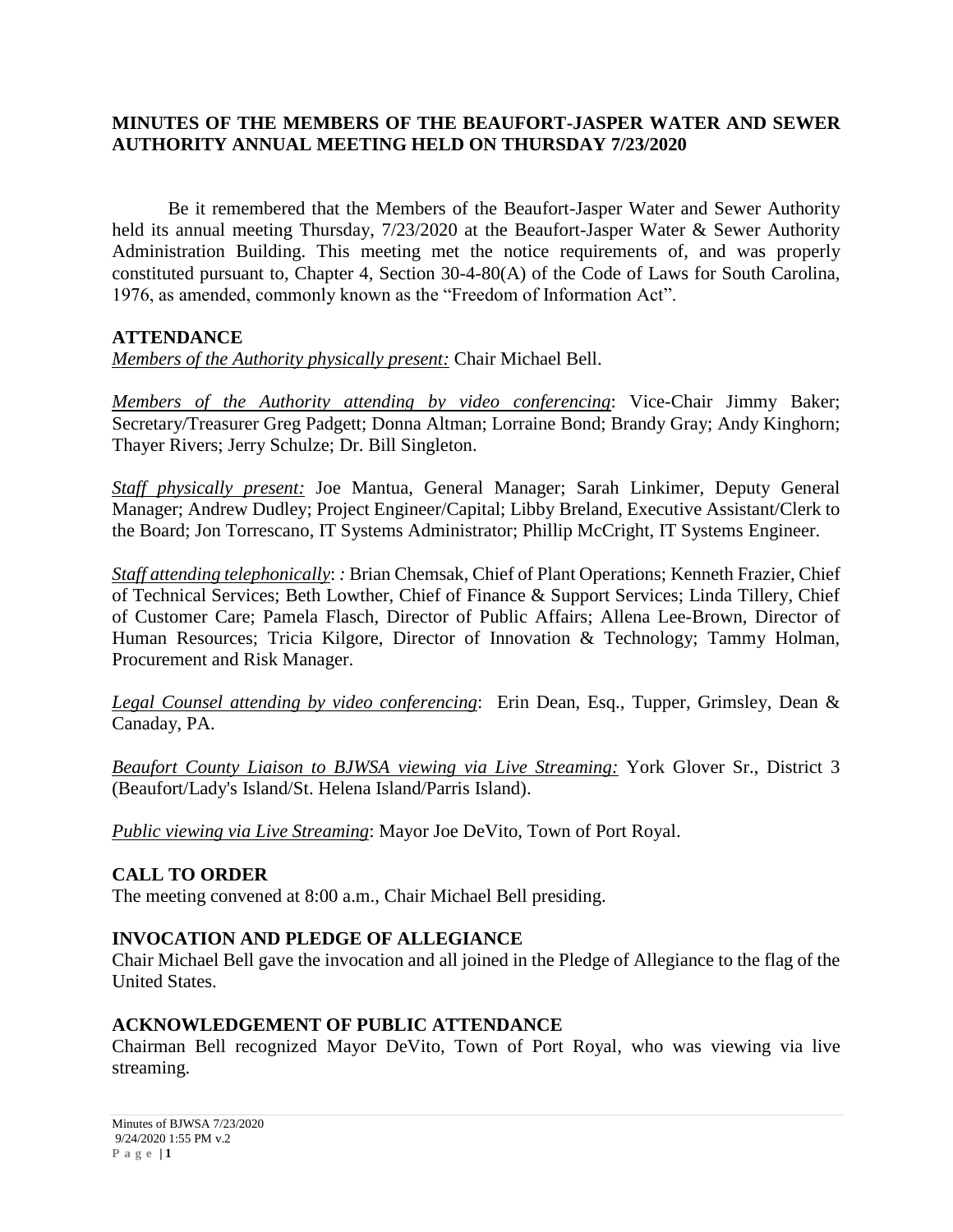## **MINUTES OF THE MEMBERS OF THE BEAUFORT-JASPER WATER AND SEWER AUTHORITY ANNUAL MEETING HELD ON THURSDAY 7/23/2020**

Be it remembered that the Members of the Beaufort-Jasper Water and Sewer Authority held its annual meeting Thursday, 7/23/2020 at the Beaufort-Jasper Water & Sewer Authority Administration Building. This meeting met the notice requirements of, and was properly constituted pursuant to, Chapter 4, Section 30-4-80(A) of the Code of Laws for South Carolina, 1976, as amended, commonly known as the "Freedom of Information Act".

## **ATTENDANCE**

*Members of the Authority physically present:* Chair Michael Bell.

*Members of the Authority attending by video conferencing*: Vice-Chair Jimmy Baker; Secretary/Treasurer Greg Padgett; Donna Altman; Lorraine Bond; Brandy Gray; Andy Kinghorn; Thayer Rivers; Jerry Schulze; Dr. Bill Singleton.

*Staff physically present:* Joe Mantua, General Manager; Sarah Linkimer, Deputy General Manager; Andrew Dudley; Project Engineer/Capital; Libby Breland, Executive Assistant/Clerk to the Board; Jon Torrescano, IT Systems Administrator; Phillip McCright, IT Systems Engineer.

*Staff attending telephonically*: *:* Brian Chemsak, Chief of Plant Operations; Kenneth Frazier, Chief of Technical Services; Beth Lowther, Chief of Finance & Support Services; Linda Tillery, Chief of Customer Care; Pamela Flasch, Director of Public Affairs; Allena Lee-Brown, Director of Human Resources; Tricia Kilgore, Director of Innovation & Technology; Tammy Holman, Procurement and Risk Manager.

*Legal Counsel attending by video conferencing*: Erin Dean, Esq., Tupper, Grimsley, Dean & Canaday, PA.

*Beaufort County Liaison to BJWSA viewing via Live Streaming:* York Glover Sr., District 3 (Beaufort/Lady's Island/St. Helena Island/Parris Island).

*Public viewing via Live Streaming*: Mayor Joe DeVito, Town of Port Royal.

## **CALL TO ORDER**

The meeting convened at 8:00 a.m., Chair Michael Bell presiding.

## **INVOCATION AND PLEDGE OF ALLEGIANCE**

Chair Michael Bell gave the invocation and all joined in the Pledge of Allegiance to the flag of the United States.

## **ACKNOWLEDGEMENT OF PUBLIC ATTENDANCE**

Chairman Bell recognized Mayor DeVito, Town of Port Royal, who was viewing via live streaming.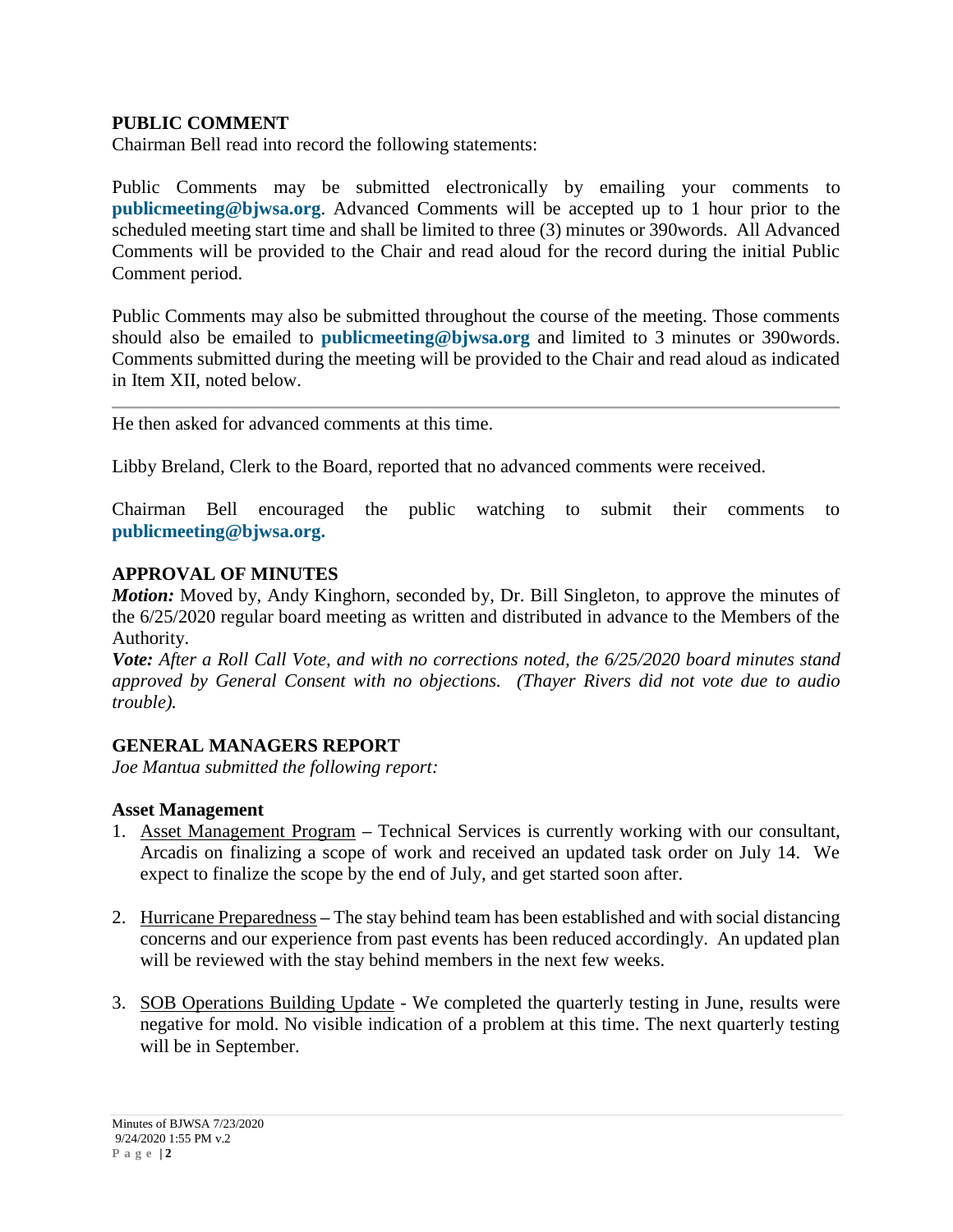## **PUBLIC COMMENT**

Chairman Bell read into record the following statements:

Public Comments may be submitted electronically by emailing your comments to **[publicmeeting@bjwsa.org](mailto:publicmeeting@bjwsa.org)**. Advanced Comments will be accepted up to 1 hour prior to the scheduled meeting start time and shall be limited to three (3) minutes or 390words. All Advanced Comments will be provided to the Chair and read aloud for the record during the initial Public Comment period.

Public Comments may also be submitted throughout the course of the meeting. Those comments should also be emailed to **[publicmeeting@bjwsa.org](mailto:publicmeeting@bjwsa.org)** and limited to 3 minutes or 390words. Comments submitted during the meeting will be provided to the Chair and read aloud as indicated in Item XII, noted below.

He then asked for advanced comments at this time.

Libby Breland, Clerk to the Board, reported that no advanced comments were received.

Chairman Bell encouraged the public watching to submit their comments to **[publicmeeting@bjwsa.org.](mailto:publicmeeting@bjwsa.org)**

### **APPROVAL OF MINUTES**

*Motion:* Moved by, Andy Kinghorn, seconded by, Dr. Bill Singleton, to approve the minutes of the 6/25/2020 regular board meeting as written and distributed in advance to the Members of the Authority.

*Vote: After a Roll Call Vote, and with no corrections noted, the 6/25/2020 board minutes stand approved by General Consent with no objections. (Thayer Rivers did not vote due to audio trouble).*

### **GENERAL MANAGERS REPORT**

*Joe Mantua submitted the following report:*

### **Asset Management**

- 1. Asset Management Program **–** Technical Services is currently working with our consultant, Arcadis on finalizing a scope of work and received an updated task order on July 14. We expect to finalize the scope by the end of July, and get started soon after.
- 2. Hurricane Preparedness **–** The stay behind team has been established and with social distancing concerns and our experience from past events has been reduced accordingly. An updated plan will be reviewed with the stay behind members in the next few weeks.
- 3. SOB Operations Building Update We completed the quarterly testing in June, results were negative for mold. No visible indication of a problem at this time. The next quarterly testing will be in September.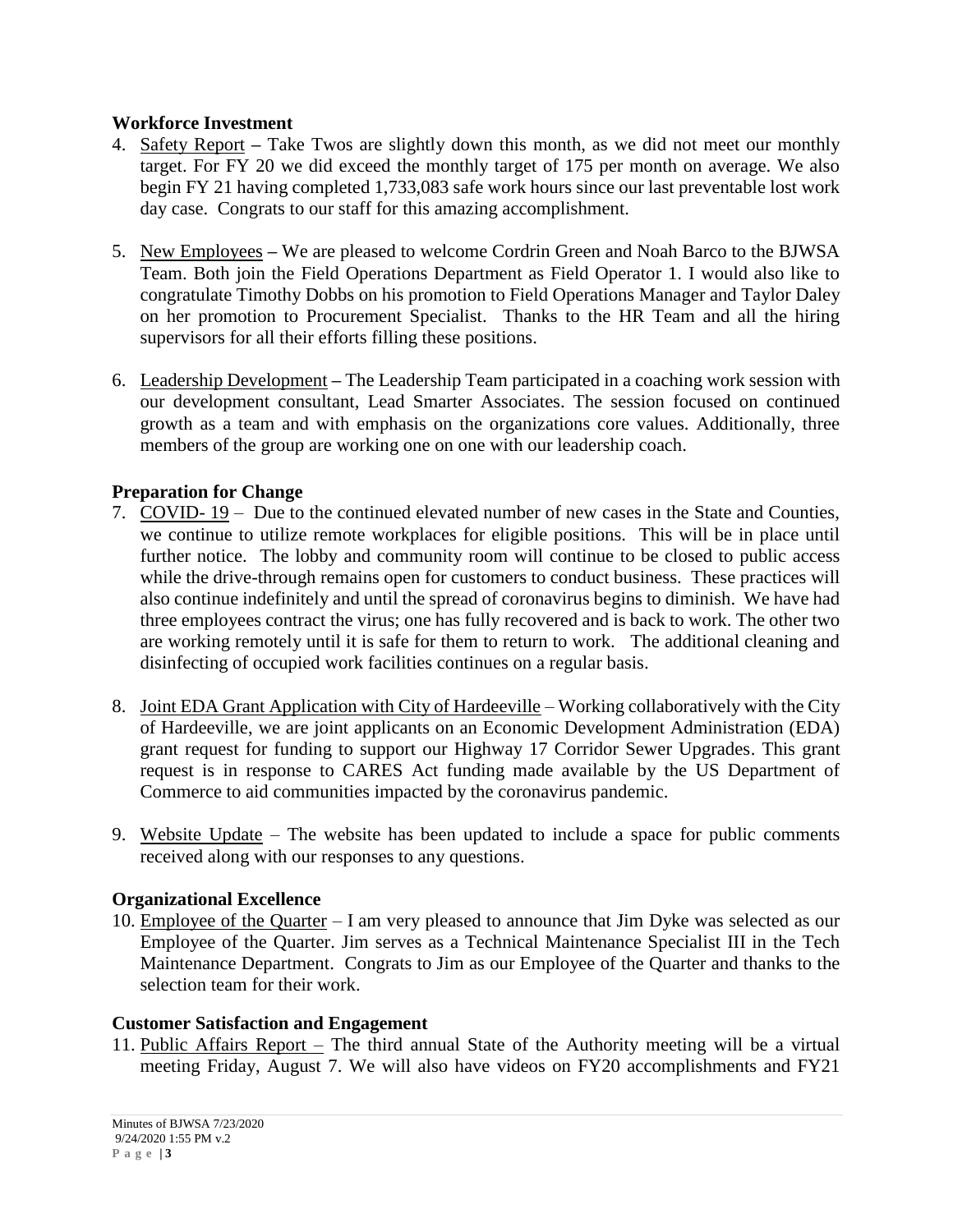### **Workforce Investment**

- 4. Safety Report **–** Take Twos are slightly down this month, as we did not meet our monthly target. For FY 20 we did exceed the monthly target of 175 per month on average. We also begin FY 21 having completed 1,733,083 safe work hours since our last preventable lost work day case. Congrats to our staff for this amazing accomplishment.
- 5. New Employees **–** We are pleased to welcome Cordrin Green and Noah Barco to the BJWSA Team. Both join the Field Operations Department as Field Operator 1. I would also like to congratulate Timothy Dobbs on his promotion to Field Operations Manager and Taylor Daley on her promotion to Procurement Specialist. Thanks to the HR Team and all the hiring supervisors for all their efforts filling these positions.
- 6. Leadership Development **–** The Leadership Team participated in a coaching work session with our development consultant, Lead Smarter Associates. The session focused on continued growth as a team and with emphasis on the organizations core values. Additionally, three members of the group are working one on one with our leadership coach.

## **Preparation for Change**

- 7. COVID- 19 Due to the continued elevated number of new cases in the State and Counties, we continue to utilize remote workplaces for eligible positions. This will be in place until further notice. The lobby and community room will continue to be closed to public access while the drive-through remains open for customers to conduct business. These practices will also continue indefinitely and until the spread of coronavirus begins to diminish. We have had three employees contract the virus; one has fully recovered and is back to work. The other two are working remotely until it is safe for them to return to work. The additional cleaning and disinfecting of occupied work facilities continues on a regular basis.
- 8. Joint EDA Grant Application with City of Hardeeville Working collaboratively with the City of Hardeeville, we are joint applicants on an Economic Development Administration (EDA) grant request for funding to support our Highway 17 Corridor Sewer Upgrades. This grant request is in response to CARES Act funding made available by the US Department of Commerce to aid communities impacted by the coronavirus pandemic.
- 9. Website Update The website has been updated to include a space for public comments received along with our responses to any questions.

## **Organizational Excellence**

10. Employee of the Quarter – I am very pleased to announce that Jim Dyke was selected as our Employee of the Quarter. Jim serves as a Technical Maintenance Specialist III in the Tech Maintenance Department. Congrats to Jim as our Employee of the Quarter and thanks to the selection team for their work.

### **Customer Satisfaction and Engagement**

11. Public Affairs Report – The third annual State of the Authority meeting will be a virtual meeting Friday, August 7. We will also have videos on FY20 accomplishments and FY21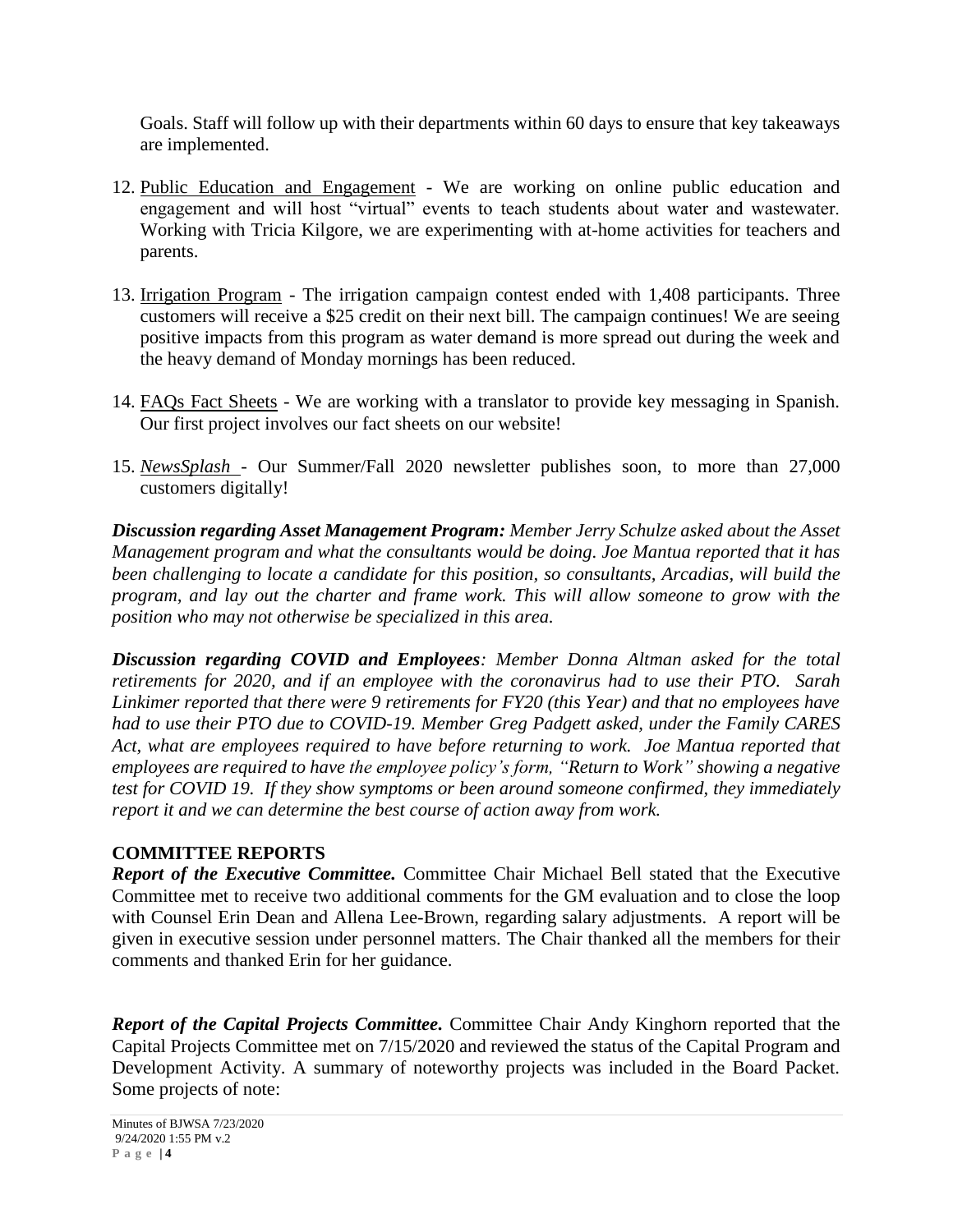Goals. Staff will follow up with their departments within 60 days to ensure that key takeaways are implemented.

- 12. Public Education and Engagement We are working on online public education and engagement and will host "virtual" events to teach students about water and wastewater. Working with Tricia Kilgore, we are experimenting with at-home activities for teachers and parents.
- 13. Irrigation Program The irrigation campaign contest ended with 1,408 participants. Three customers will receive a \$25 credit on their next bill. The campaign continues! We are seeing positive impacts from this program as water demand is more spread out during the week and the heavy demand of Monday mornings has been reduced.
- 14. FAQs Fact Sheets We are working with a translator to provide key messaging in Spanish. Our first project involves our fact sheets on our website!
- 15. *NewsSplash* Our Summer/Fall 2020 newsletter publishes soon, to more than 27,000 customers digitally!

*Discussion regarding Asset Management Program: Member Jerry Schulze asked about the Asset Management program and what the consultants would be doing. Joe Mantua reported that it has been challenging to locate a candidate for this position, so consultants, Arcadias, will build the program, and lay out the charter and frame work. This will allow someone to grow with the position who may not otherwise be specialized in this area.*

*Discussion regarding COVID and Employees: Member Donna Altman asked for the total retirements for 2020, and if an employee with the coronavirus had to use their PTO. Sarah Linkimer reported that there were 9 retirements for FY20 (this Year) and that no employees have had to use their PTO due to COVID-19. Member Greg Padgett asked, under the Family CARES Act, what are employees required to have before returning to work. Joe Mantua reported that employees are required to have the employee policy's form, "Return to Work" showing a negative test for COVID 19. If they show symptoms or been around someone confirmed, they immediately report it and we can determine the best course of action away from work.*

## **COMMITTEE REPORTS**

*Report of the Executive Committee.* Committee Chair Michael Bell stated that the Executive Committee met to receive two additional comments for the GM evaluation and to close the loop with Counsel Erin Dean and Allena Lee-Brown, regarding salary adjustments. A report will be given in executive session under personnel matters. The Chair thanked all the members for their comments and thanked Erin for her guidance.

*Report of the Capital Projects Committee.* Committee Chair Andy Kinghorn reported that the Capital Projects Committee met on 7/15/2020 and reviewed the status of the Capital Program and Development Activity. A summary of noteworthy projects was included in the Board Packet. Some projects of note: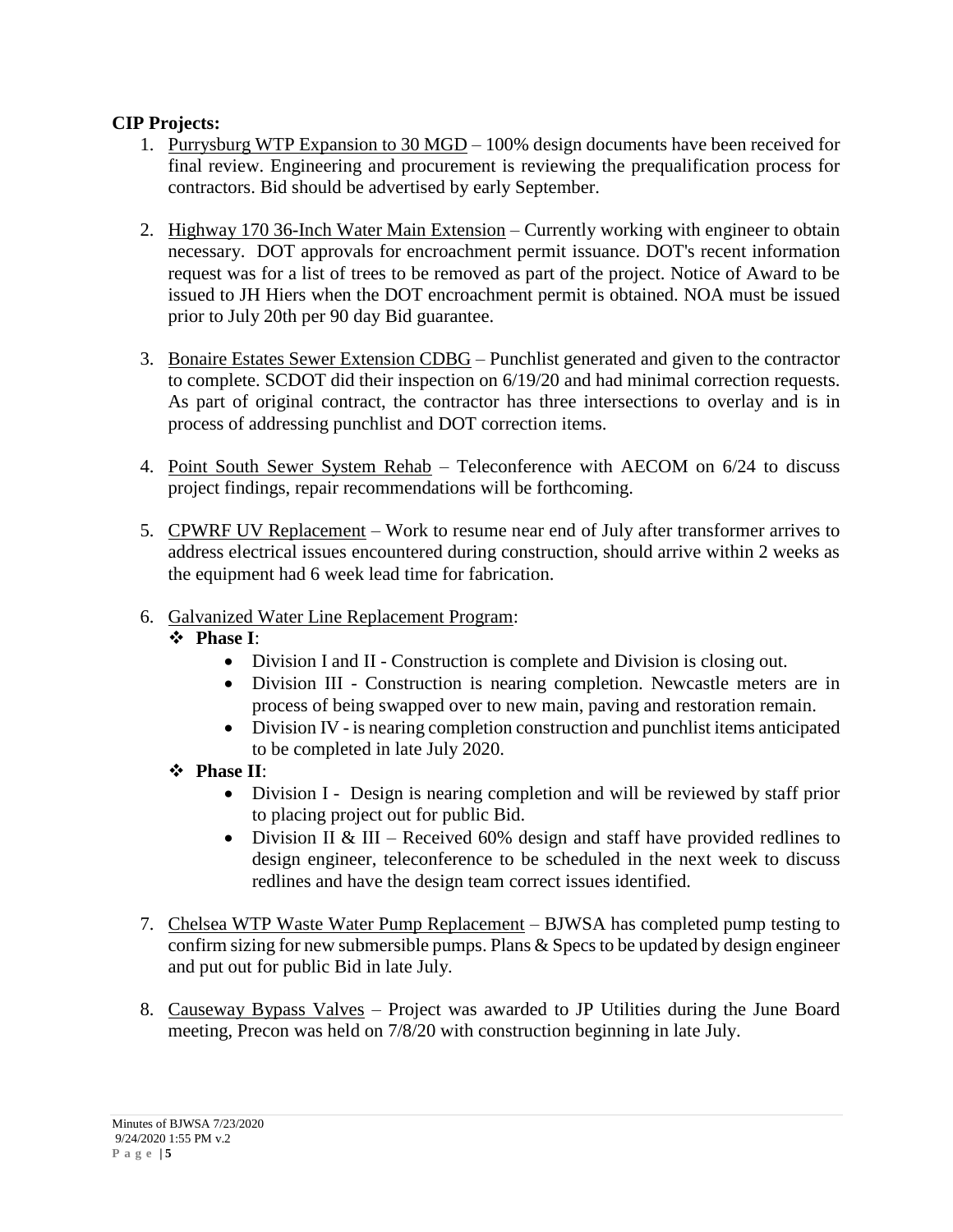## **CIP Projects:**

- 1. Purrysburg WTP Expansion to 30 MGD 100% design documents have been received for final review. Engineering and procurement is reviewing the prequalification process for contractors. Bid should be advertised by early September.
- 2. Highway 170 36-Inch Water Main Extension Currently working with engineer to obtain necessary. DOT approvals for encroachment permit issuance. DOT's recent information request was for a list of trees to be removed as part of the project. Notice of Award to be issued to JH Hiers when the DOT encroachment permit is obtained. NOA must be issued prior to July 20th per 90 day Bid guarantee.
- 3. Bonaire Estates Sewer Extension CDBG Punchlist generated and given to the contractor to complete. SCDOT did their inspection on 6/19/20 and had minimal correction requests. As part of original contract, the contractor has three intersections to overlay and is in process of addressing punchlist and DOT correction items.
- 4. Point South Sewer System Rehab Teleconference with AECOM on 6/24 to discuss project findings, repair recommendations will be forthcoming.
- 5. CPWRF UV Replacement Work to resume near end of July after transformer arrives to address electrical issues encountered during construction, should arrive within 2 weeks as the equipment had 6 week lead time for fabrication.
- 6. Galvanized Water Line Replacement Program:

## **Phase I**:

- Division I and II Construction is complete and Division is closing out.
- Division III Construction is nearing completion. Newcastle meters are in process of being swapped over to new main, paving and restoration remain.
- Division IV is nearing completion construction and punchlist items anticipated to be completed in late July 2020.
- **Phase II**:
	- Division I Design is nearing completion and will be reviewed by staff prior to placing project out for public Bid.
	- Division II & III Received 60% design and staff have provided redlines to design engineer, teleconference to be scheduled in the next week to discuss redlines and have the design team correct issues identified.
- 7. Chelsea WTP Waste Water Pump Replacement BJWSA has completed pump testing to confirm sizing for new submersible pumps. Plans  $&$  Specs to be updated by design engineer and put out for public Bid in late July.
- 8. Causeway Bypass Valves Project was awarded to JP Utilities during the June Board meeting, Precon was held on 7/8/20 with construction beginning in late July.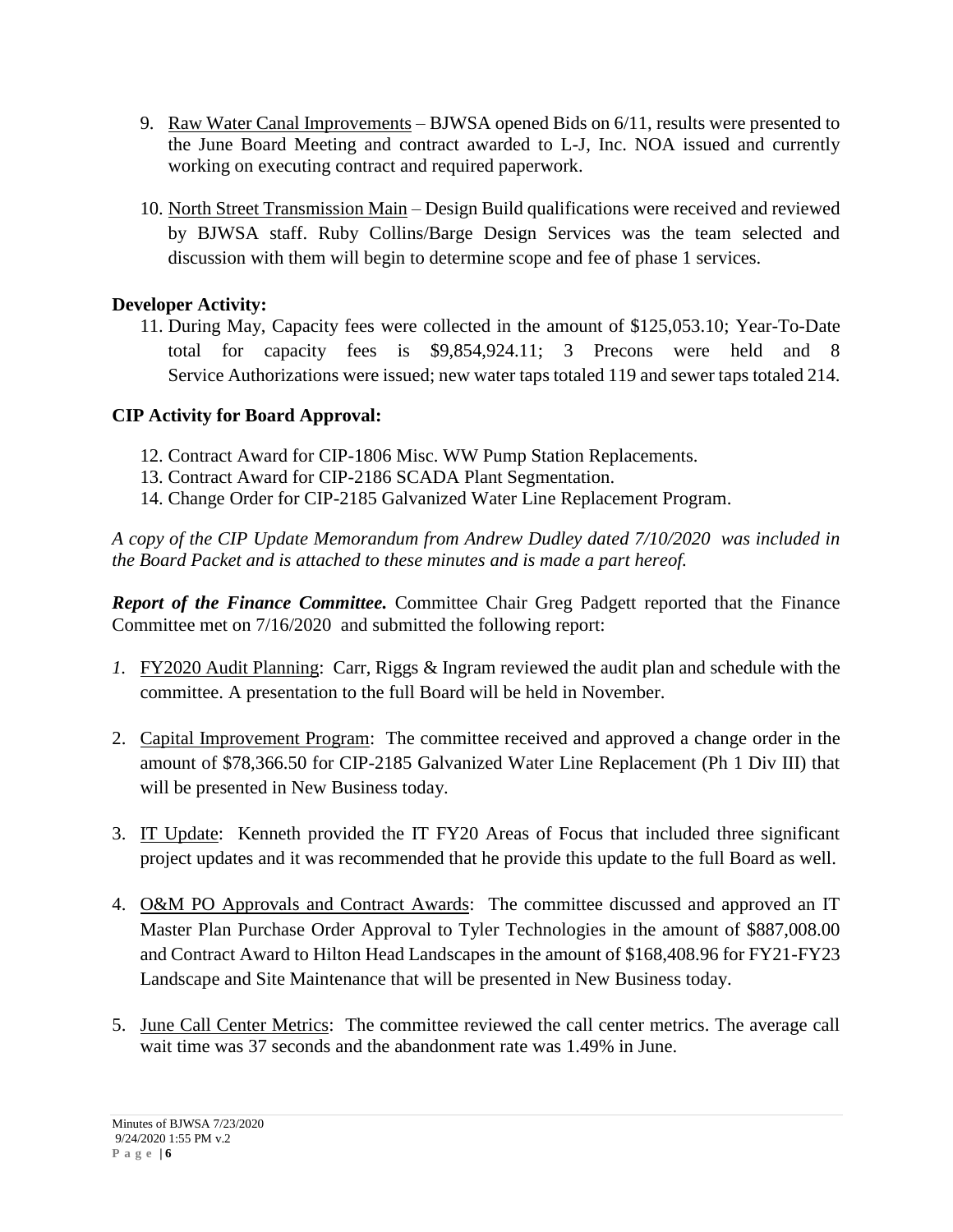- 9. Raw Water Canal Improvements BJWSA opened Bids on 6/11, results were presented to the June Board Meeting and contract awarded to L-J, Inc. NOA issued and currently working on executing contract and required paperwork.
- 10. North Street Transmission Main Design Build qualifications were received and reviewed by BJWSA staff. Ruby Collins/Barge Design Services was the team selected and discussion with them will begin to determine scope and fee of phase 1 services.

## **Developer Activity:**

11. During May, Capacity fees were collected in the amount of \$125,053.10; Year-To-Date total for capacity fees is \$9,854,924.11; 3 Precons were held and 8 Service Authorizations were issued; new water taps totaled 119 and sewer taps totaled 214.

## **CIP Activity for Board Approval:**

- 12. Contract Award for CIP-1806 Misc. WW Pump Station Replacements.
- 13. Contract Award for CIP-2186 SCADA Plant Segmentation.
- 14. Change Order for CIP-2185 Galvanized Water Line Replacement Program.

*A copy of the CIP Update Memorandum from Andrew Dudley dated 7/10/2020 was included in the Board Packet and is attached to these minutes and is made a part hereof.*

*Report of the Finance Committee.* Committee Chair Greg Padgett reported that the Finance Committee met on 7/16/2020 and submitted the following report:

- *1.* FY2020 Audit Planning: Carr, Riggs & Ingram reviewed the audit plan and schedule with the committee. A presentation to the full Board will be held in November.
- 2. Capital Improvement Program: The committee received and approved a change order in the amount of \$78,366.50 for CIP-2185 Galvanized Water Line Replacement (Ph 1 Div III) that will be presented in New Business today.
- 3. IT Update: Kenneth provided the IT FY20 Areas of Focus that included three significant project updates and it was recommended that he provide this update to the full Board as well.
- 4. O&M PO Approvals and Contract Awards: The committee discussed and approved an IT Master Plan Purchase Order Approval to Tyler Technologies in the amount of \$887,008.00 and Contract Award to Hilton Head Landscapes in the amount of \$168,408.96 for FY21-FY23 Landscape and Site Maintenance that will be presented in New Business today.
- 5. June Call Center Metrics: The committee reviewed the call center metrics. The average call wait time was 37 seconds and the abandonment rate was 1.49% in June.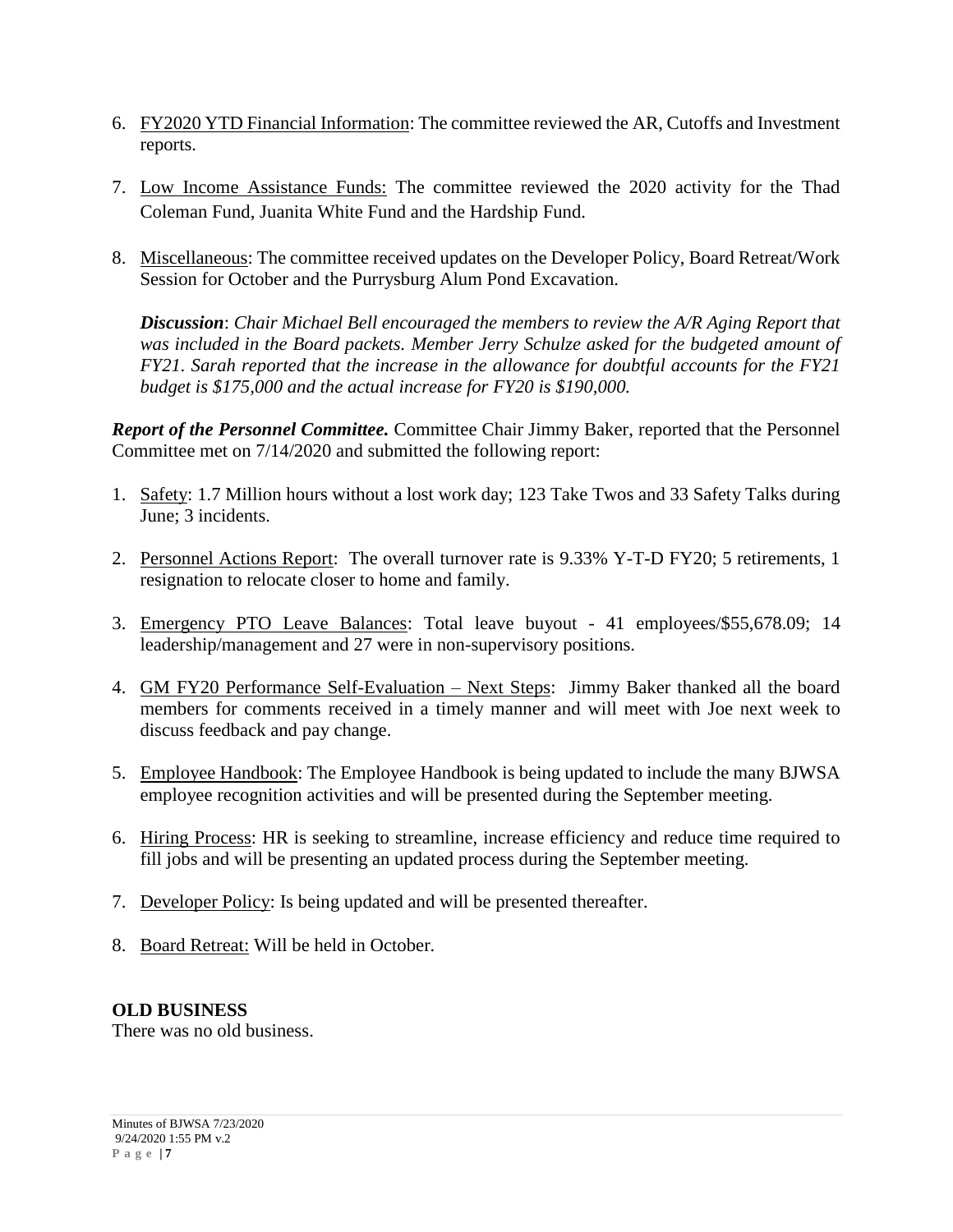- 6. FY2020 YTD Financial Information: The committee reviewed the AR, Cutoffs and Investment reports.
- 7. Low Income Assistance Funds: The committee reviewed the 2020 activity for the Thad Coleman Fund, Juanita White Fund and the Hardship Fund.
- 8. Miscellaneous: The committee received updates on the Developer Policy, Board Retreat/Work Session for October and the Purrysburg Alum Pond Excavation.

*Discussion*: *Chair Michael Bell encouraged the members to review the A/R Aging Report that was included in the Board packets. Member Jerry Schulze asked for the budgeted amount of FY21. Sarah reported that the increase in the allowance for doubtful accounts for the FY21 budget is \$175,000 and the actual increase for FY20 is \$190,000.*

*Report of the Personnel Committee.* Committee Chair Jimmy Baker, reported that the Personnel Committee met on 7/14/2020 and submitted the following report:

- 1. Safety: 1.7 Million hours without a lost work day; 123 Take Twos and 33 Safety Talks during June; 3 incidents.
- 2. Personnel Actions Report: The overall turnover rate is 9.33% Y-T-D FY20; 5 retirements, 1 resignation to relocate closer to home and family.
- 3. Emergency PTO Leave Balances: Total leave buyout 41 employees/\$55,678.09; 14 leadership/management and 27 were in non-supervisory positions.
- 4. GM FY20 Performance Self-Evaluation Next Steps: Jimmy Baker thanked all the board members for comments received in a timely manner and will meet with Joe next week to discuss feedback and pay change.
- 5. Employee Handbook: The Employee Handbook is being updated to include the many BJWSA employee recognition activities and will be presented during the September meeting.
- 6. Hiring Process: HR is seeking to streamline, increase efficiency and reduce time required to fill jobs and will be presenting an updated process during the September meeting.
- 7. Developer Policy: Is being updated and will be presented thereafter.
- 8. Board Retreat: Will be held in October.

## **OLD BUSINESS**

There was no old business.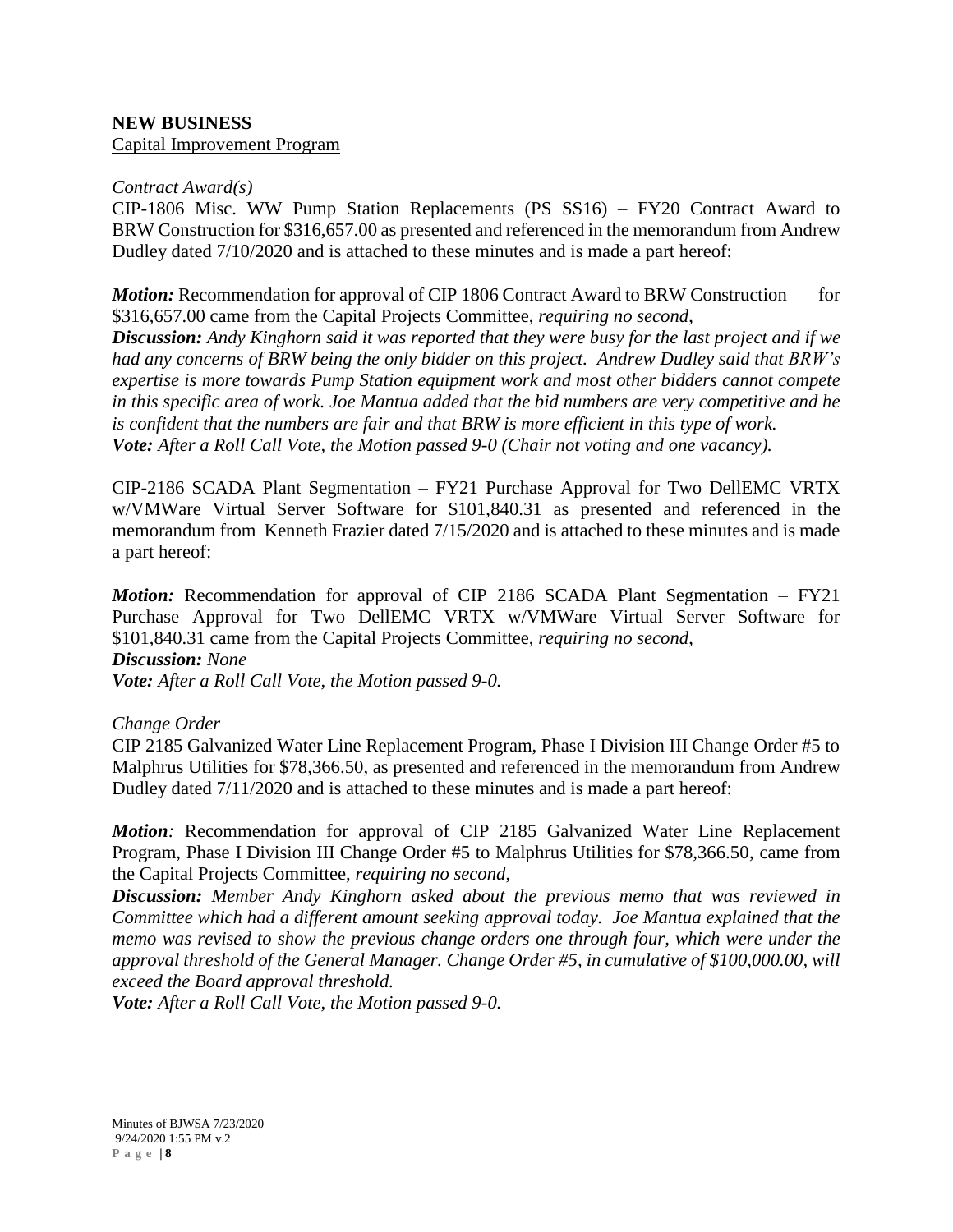# **NEW BUSINESS**

Capital Improvement Program

### *Contract Award(s)*

CIP-1806 Misc. WW Pump Station Replacements (PS SS16) – FY20 Contract Award to BRW Construction for \$316,657.00 as presented and referenced in the memorandum from Andrew Dudley dated 7/10/2020 and is attached to these minutes and is made a part hereof:

*Motion:* Recommendation for approval of CIP 1806 Contract Award to BRW Construction for \$316,657.00 came from the Capital Projects Committee, *requiring no second*,

*Discussion: Andy Kinghorn said it was reported that they were busy for the last project and if we had any concerns of BRW being the only bidder on this project. Andrew Dudley said that BRW's expertise is more towards Pump Station equipment work and most other bidders cannot compete in this specific area of work. Joe Mantua added that the bid numbers are very competitive and he is confident that the numbers are fair and that BRW is more efficient in this type of work. Vote: After a Roll Call Vote, the Motion passed 9-0 (Chair not voting and one vacancy).*

CIP-2186 SCADA Plant Segmentation – FY21 Purchase Approval for Two DellEMC VRTX w/VMWare Virtual Server Software for \$101,840.31 as presented and referenced in the memorandum from Kenneth Frazier dated 7/15/2020 and is attached to these minutes and is made a part hereof:

*Motion:* Recommendation for approval of CIP 2186 SCADA Plant Segmentation - FY21 Purchase Approval for Two DellEMC VRTX w/VMWare Virtual Server Software for \$101,840.31 came from the Capital Projects Committee, *requiring no second*,

## *Discussion: None*

*Vote: After a Roll Call Vote, the Motion passed 9-0.*

### *Change Order*

CIP 2185 Galvanized Water Line Replacement Program, Phase I Division III Change Order #5 to Malphrus Utilities for \$78,366.50, as presented and referenced in the memorandum from Andrew Dudley dated 7/11/2020 and is attached to these minutes and is made a part hereof:

*Motion:* Recommendation for approval of CIP 2185 Galvanized Water Line Replacement Program, Phase I Division III Change Order #5 to Malphrus Utilities for \$78,366.50, came from the Capital Projects Committee, *requiring no second*,

*Discussion: Member Andy Kinghorn asked about the previous memo that was reviewed in Committee which had a different amount seeking approval today. Joe Mantua explained that the memo was revised to show the previous change orders one through four, which were under the approval threshold of the General Manager. Change Order #5, in cumulative of \$100,000.00, will exceed the Board approval threshold.*

*Vote: After a Roll Call Vote, the Motion passed 9-0.*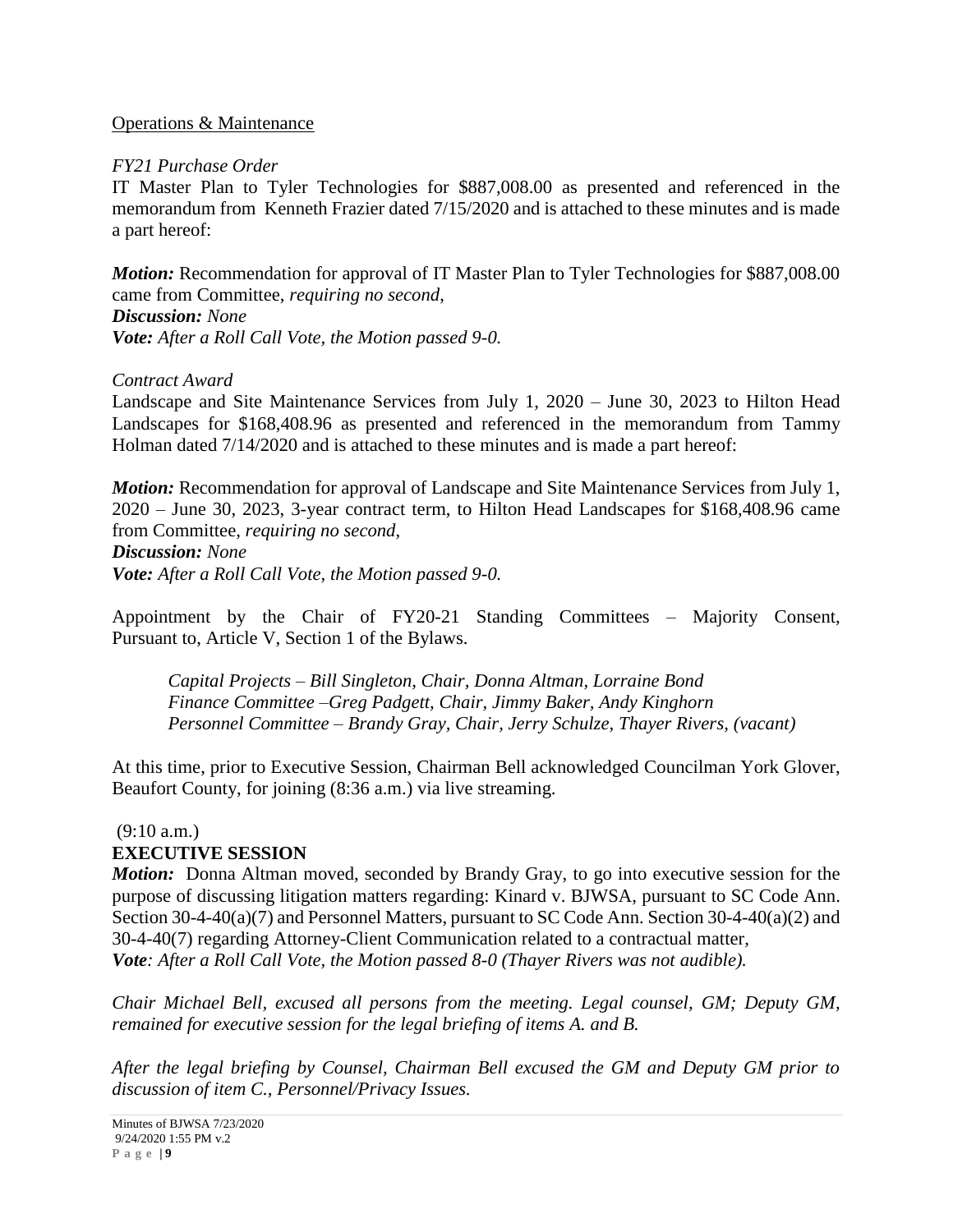### Operations & Maintenance

### *FY21 Purchase Order*

IT Master Plan to Tyler Technologies for \$887,008.00 as presented and referenced in the memorandum from Kenneth Frazier dated 7/15/2020 and is attached to these minutes and is made a part hereof:

*Motion:* Recommendation for approval of IT Master Plan to Tyler Technologies for \$887,008.00 came from Committee, *requiring no second*, *Discussion: None Vote: After a Roll Call Vote, the Motion passed 9-0.*

### *Contract Award*

Landscape and Site Maintenance Services from July 1, 2020 – June 30, 2023 to Hilton Head Landscapes for \$168,408.96 as presented and referenced in the memorandum from Tammy Holman dated 7/14/2020 and is attached to these minutes and is made a part hereof:

*Motion:* Recommendation for approval of Landscape and Site Maintenance Services from July 1, 2020 – June 30, 2023, 3-year contract term, to Hilton Head Landscapes for \$168,408.96 came from Committee, *requiring no second*, *Discussion: None Vote: After a Roll Call Vote, the Motion passed 9-0.*

Appointment by the Chair of FY20-21 Standing Committees – Majority Consent, Pursuant to, Article V, Section 1 of the Bylaws.

*Capital Projects – Bill Singleton, Chair, Donna Altman, Lorraine Bond Finance Committee –Greg Padgett, Chair, Jimmy Baker, Andy Kinghorn Personnel Committee – Brandy Gray, Chair, Jerry Schulze, Thayer Rivers, (vacant)*

At this time, prior to Executive Session, Chairman Bell acknowledged Councilman York Glover, Beaufort County, for joining (8:36 a.m.) via live streaming.

#### $(9:10 a.m.)$ **EXECUTIVE SESSION**

*Motion:* Donna Altman moved, seconded by Brandy Gray, to go into executive session for the purpose of discussing litigation matters regarding: Kinard v. BJWSA, pursuant to SC Code Ann. Section 30-4-40(a)(7) and Personnel Matters, pursuant to SC Code Ann. Section 30-4-40(a)(2) and 30-4-40(7) regarding Attorney-Client Communication related to a contractual matter, *Vote: After a Roll Call Vote, the Motion passed 8-0 (Thayer Rivers was not audible).*

*Chair Michael Bell, excused all persons from the meeting. Legal counsel, GM; Deputy GM, remained for executive session for the legal briefing of items A. and B.* 

*After the legal briefing by Counsel, Chairman Bell excused the GM and Deputy GM prior to discussion of item C., Personnel/Privacy Issues.*